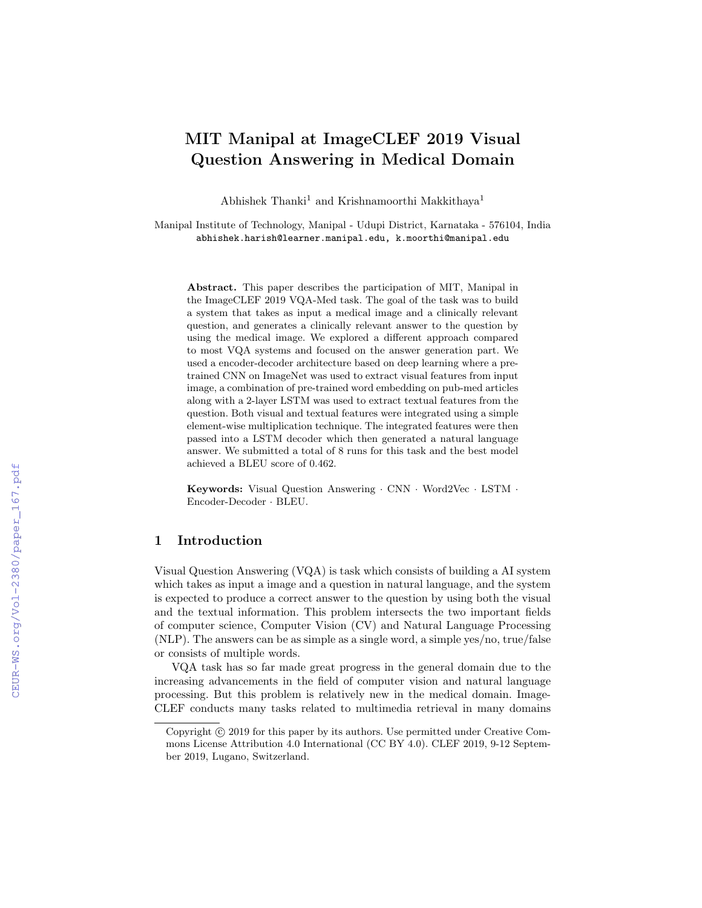# MIT Manipal at ImageCLEF 2019 Visual Question Answering in Medical Domain

Abhishek Thanki<sup>1</sup> and Krishnamoorthi Makkithaya<sup>1</sup>

Manipal Institute of Technology, Manipal - Udupi District, Karnataka - 576104, India abhishek.harish@learner.manipal.edu, k.moorthi@manipal.edu

Abstract. This paper describes the participation of MIT, Manipal in the ImageCLEF 2019 VQA-Med task. The goal of the task was to build a system that takes as input a medical image and a clinically relevant question, and generates a clinically relevant answer to the question by using the medical image. We explored a different approach compared to most VQA systems and focused on the answer generation part. We used a encoder-decoder architecture based on deep learning where a pretrained CNN on ImageNet was used to extract visual features from input image, a combination of pre-trained word embedding on pub-med articles along with a 2-layer LSTM was used to extract textual features from the question. Both visual and textual features were integrated using a simple element-wise multiplication technique. The integrated features were then passed into a LSTM decoder which then generated a natural language answer. We submitted a total of 8 runs for this task and the best model achieved a BLEU score of 0.462.

Keywords: Visual Question Answering · CNN · Word2Vec · LSTM · Encoder-Decoder · BLEU.

## 1 Introduction

Visual Question Answering (VQA) is task which consists of building a AI system which takes as input a image and a question in natural language, and the system is expected to produce a correct answer to the question by using both the visual and the textual information. This problem intersects the two important fields of computer science, Computer Vision (CV) and Natural Language Processing (NLP). The answers can be as simple as a single word, a simple yes/no, true/false or consists of multiple words.

VQA task has so far made great progress in the general domain due to the increasing advancements in the field of computer vision and natural language processing. But this problem is relatively new in the medical domain. Image-CLEF conducts many tasks related to multimedia retrieval in many domains

Copyright  $\odot$  2019 for this paper by its authors. Use permitted under Creative Commons License Attribution 4.0 International (CC BY 4.0). CLEF 2019, 9-12 September 2019, Lugano, Switzerland.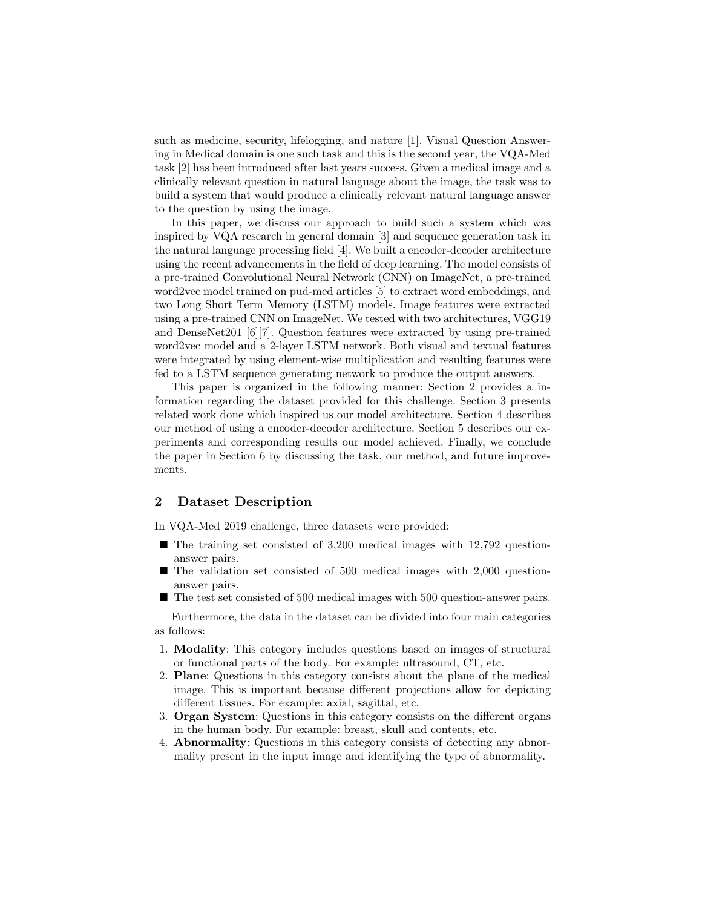such as medicine, security, lifelogging, and nature [1]. Visual Question Answering in Medical domain is one such task and this is the second year, the VQA-Med task [2] has been introduced after last years success. Given a medical image and a clinically relevant question in natural language about the image, the task was to build a system that would produce a clinically relevant natural language answer to the question by using the image.

In this paper, we discuss our approach to build such a system which was inspired by VQA research in general domain [3] and sequence generation task in the natural language processing field [4]. We built a encoder-decoder architecture using the recent advancements in the field of deep learning. The model consists of a pre-trained Convolutional Neural Network (CNN) on ImageNet, a pre-trained word2vec model trained on pud-med articles [5] to extract word embeddings, and two Long Short Term Memory (LSTM) models. Image features were extracted using a pre-trained CNN on ImageNet. We tested with two architectures, VGG19 and DenseNet201 [6][7]. Question features were extracted by using pre-trained word2vec model and a 2-layer LSTM network. Both visual and textual features were integrated by using element-wise multiplication and resulting features were fed to a LSTM sequence generating network to produce the output answers.

This paper is organized in the following manner: Section 2 provides a information regarding the dataset provided for this challenge. Section 3 presents related work done which inspired us our model architecture. Section 4 describes our method of using a encoder-decoder architecture. Section 5 describes our experiments and corresponding results our model achieved. Finally, we conclude the paper in Section 6 by discussing the task, our method, and future improvements.

### 2 Dataset Description

In VQA-Med 2019 challenge, three datasets were provided:

- $\blacksquare$  The training set consisted of 3,200 medical images with 12,792 questionanswer pairs.
- The validation set consisted of 500 medical images with 2,000 questionanswer pairs.
- The test set consisted of 500 medical images with 500 question-answer pairs.

Furthermore, the data in the dataset can be divided into four main categories as follows:

- 1. Modality: This category includes questions based on images of structural or functional parts of the body. For example: ultrasound, CT, etc.
- 2. Plane: Questions in this category consists about the plane of the medical image. This is important because different projections allow for depicting different tissues. For example: axial, sagittal, etc.
- 3. Organ System: Questions in this category consists on the different organs in the human body. For example: breast, skull and contents, etc.
- 4. Abnormality: Questions in this category consists of detecting any abnormality present in the input image and identifying the type of abnormality.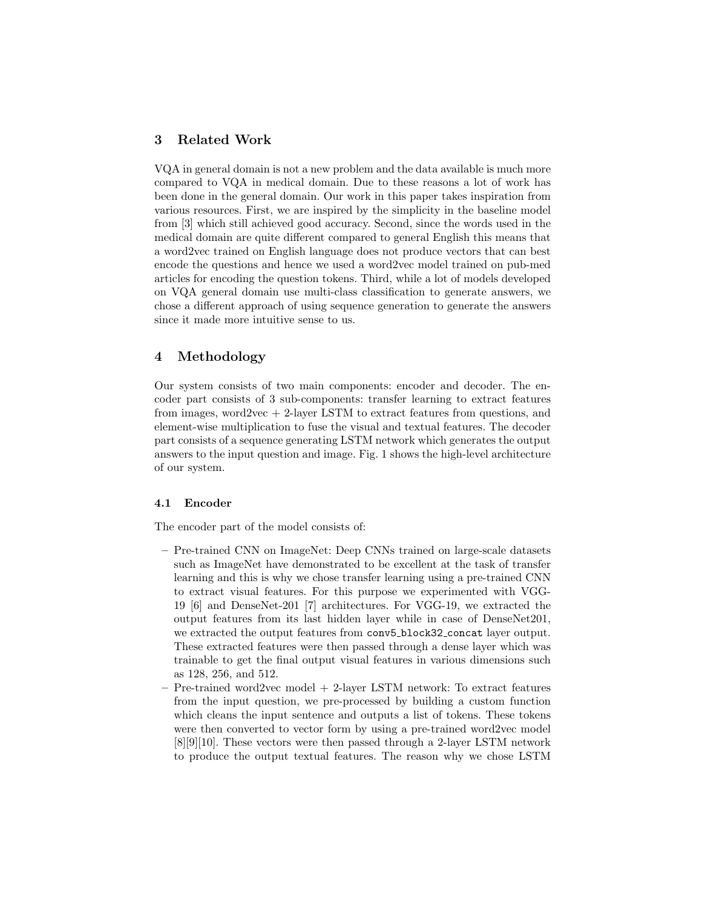# 3 Related Work

VQA in general domain is not a new problem and the data available is much more compared to VQA in medical domain. Due to these reasons a lot of work has been done in the general domain. Our work in this paper takes inspiration from various resources. First, we are inspired by the simplicity in the baseline model from [3] which still achieved good accuracy. Second, since the words used in the medical domain are quite different compared to general English this means that a word2vec trained on English language does not produce vectors that can best encode the questions and hence we used a word2vec model trained on pub-med articles for encoding the question tokens. Third, while a lot of models developed on VQA general domain use multi-class classification to generate answers, we chose a different approach of using sequence generation to generate the answers since it made more intuitive sense to us.

# 4 Methodology

Our system consists of two main components: encoder and decoder. The encoder part consists of 3 sub-components: transfer learning to extract features from images, word2vec  $+$  2-layer LSTM to extract features from questions, and element-wise multiplication to fuse the visual and textual features. The decoder part consists of a sequence generating LSTM network which generates the output answers to the input question and image. Fig. 1 shows the high-level architecture of our system.

#### 4.1 Encoder

The encoder part of the model consists of:

- Pre-trained CNN on ImageNet: Deep CNNs trained on large-scale datasets such as ImageNet have demonstrated to be excellent at the task of transfer learning and this is why we chose transfer learning using a pre-trained CNN to extract visual features. For this purpose we experimented with VGG-19 [6] and DenseNet-201 [7] architectures. For VGG-19, we extracted the output features from its last hidden layer while in case of DenseNet201, we extracted the output features from conv5\_block32\_concat layer output. These extracted features were then passed through a dense layer which was trainable to get the final output visual features in various dimensions such as 128, 256, and 512.
- Pre-trained word2vec model + 2-layer LSTM network: To extract features from the input question, we pre-processed by building a custom function which cleans the input sentence and outputs a list of tokens. These tokens were then converted to vector form by using a pre-trained word2vec model [8][9][10]. These vectors were then passed through a 2-layer LSTM network to produce the output textual features. The reason why we chose LSTM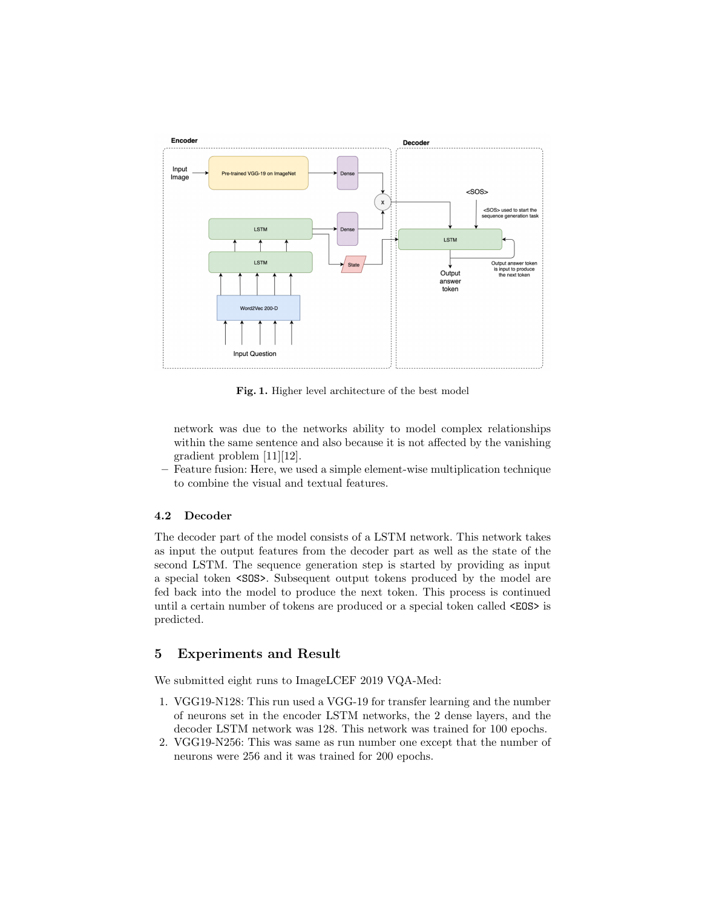

Fig. 1. Higher level architecture of the best model

network was due to the networks ability to model complex relationships within the same sentence and also because it is not affected by the vanishing gradient problem [11][12].

– Feature fusion: Here, we used a simple element-wise multiplication technique to combine the visual and textual features.

## 4.2 Decoder

The decoder part of the model consists of a LSTM network. This network takes as input the output features from the decoder part as well as the state of the second LSTM. The sequence generation step is started by providing as input a special token <SOS>. Subsequent output tokens produced by the model are fed back into the model to produce the next token. This process is continued until a certain number of tokens are produced or a special token called <EOS> is predicted.

## 5 Experiments and Result

We submitted eight runs to ImageLCEF 2019 VQA-Med:

- 1. VGG19-N128: This run used a VGG-19 for transfer learning and the number of neurons set in the encoder LSTM networks, the 2 dense layers, and the decoder LSTM network was 128. This network was trained for 100 epochs.
- 2. VGG19-N256: This was same as run number one except that the number of neurons were 256 and it was trained for 200 epochs.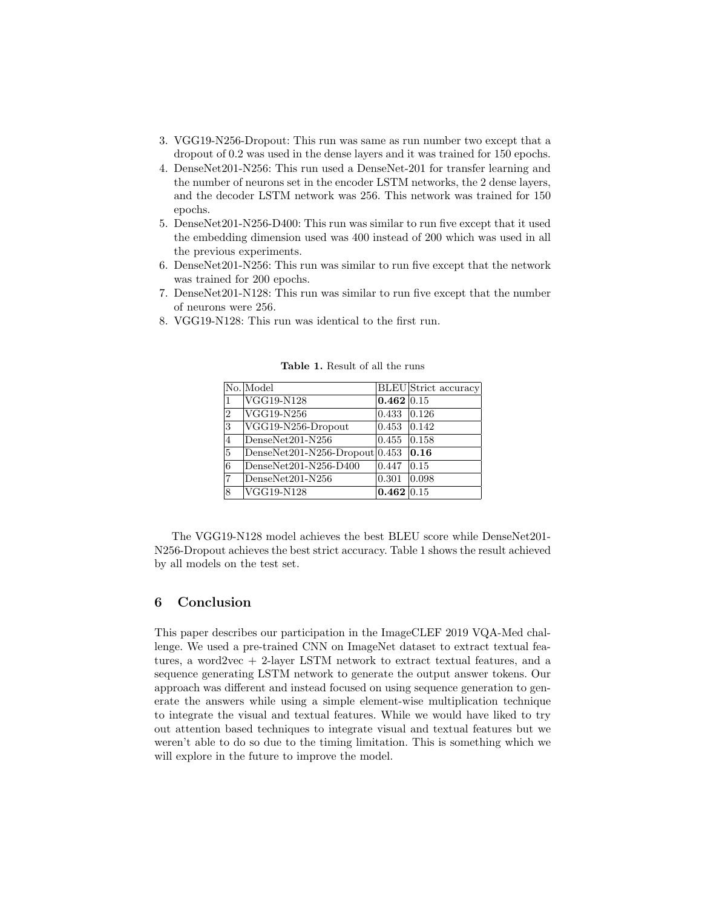- 3. VGG19-N256-Dropout: This run was same as run number two except that a dropout of 0.2 was used in the dense layers and it was trained for 150 epochs.
- 4. DenseNet201-N256: This run used a DenseNet-201 for transfer learning and the number of neurons set in the encoder LSTM networks, the 2 dense layers, and the decoder LSTM network was 256. This network was trained for 150 epochs.
- 5. DenseNet201-N256-D400: This run was similar to run five except that it used the embedding dimension used was 400 instead of 200 which was used in all the previous experiments.
- 6. DenseNet201-N256: This run was similar to run five except that the network was trained for 200 epochs.
- 7. DenseNet201-N128: This run was similar to run five except that the number of neurons were 256.
- 8. VGG19-N128: This run was identical to the first run.

|                | No. Model                              |                | <b>BLEU</b> Strict accuracy |
|----------------|----------------------------------------|----------------|-----------------------------|
| 1              | VGG19-N128                             | 0.462 0.15     |                             |
| $\overline{2}$ | $\rm{VGG19-N256}$                      | $0.433$ 0.126  |                             |
| 3              | $\overline{\text{VGG19-N256-Dropout}}$ | 0.453          | 0.142                       |
| $\overline{4}$ | $DenseNet201-N256$                     | 0.455          | 0.158                       |
| 5              | $ DenseNet201-N256-Dropout 0.453 $     |                | 0.16                        |
| 6              | DenseNet201-N256-D400                  | 0.447          | 0.15                        |
| 17             | DenseNet201-N256                       | 0.301          | 0.098                       |
| 8              | VGG19-N128                             | $0.462\, 0.15$ |                             |

Table 1. Result of all the runs

The VGG19-N128 model achieves the best BLEU score while DenseNet201- N256-Dropout achieves the best strict accuracy. Table 1 shows the result achieved by all models on the test set.

# 6 Conclusion

This paper describes our participation in the ImageCLEF 2019 VQA-Med challenge. We used a pre-trained CNN on ImageNet dataset to extract textual features, a word2vec + 2-layer LSTM network to extract textual features, and a sequence generating LSTM network to generate the output answer tokens. Our approach was different and instead focused on using sequence generation to generate the answers while using a simple element-wise multiplication technique to integrate the visual and textual features. While we would have liked to try out attention based techniques to integrate visual and textual features but we weren't able to do so due to the timing limitation. This is something which we will explore in the future to improve the model.